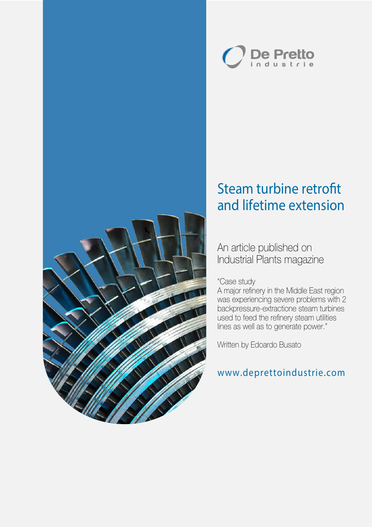



## Steam turbine retrofit and lifetime extension

An article published on Industrial Plants magazine

### "Case study

A major refinery in the Middle East region was experiencing severe problems with 2 backpressure-extractione steam turbines used to feed the refinery steam utilities lines as well as to generate power."

Written by Edoardo Busato

## www.deprettoindustrie.com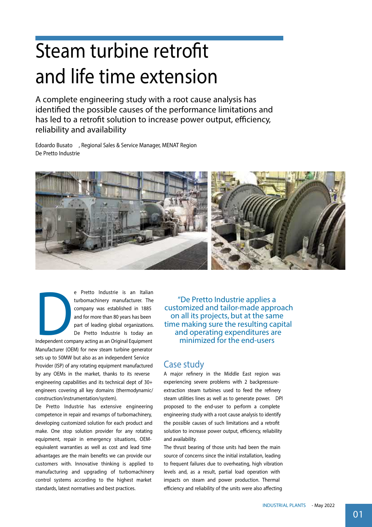# Steam turbine retrofit and life time extension

A complete engineering study with a root cause analysis has identified the possible causes of the performance limitations and has led to a retrofit solution to increase power output, efficiency, reliability and availability

Edoardo Busato , Regional Sales & Service Manager, MENAT Region De Pretto Industrie



Experience Industrie is an Italian<br>turbomachinery manufacturer. The<br>company was established in 1885<br>and for more than 80 years has been<br>part of leading global organizations.<br>De Pretto Industrie Is today an<br>Independent comp turbomachinery manufacturer. The company was established in 1885 and for more than 80 years has been part of leading global organizations. De Pretto Industrie Is today an

Independent company acting as an Original Equipment Manufacturer (OEM) for new steam turbine generator sets up to 50MW but also as an independent Service Provider (ISP) of any rotating equipment manufactured by any OEMs in the market, thanks to its reverse engineering capabilities and its technical dept of 30+ engineers covering all key domains (thermodynamic/ construction/instrumentation/system).

De Pretto Industrie has extensive engineering competence in repair and revamps of turbomachinery, developing customized solution for each product and make. One stop solution provider for any rotating equipment, repair in emergency situations, OEMequivalent warranties as well as cost and lead time advantages are the main benefits we can provide our customers with. Innovative thinking is applied to manufacturing and upgrading of turbomachinery control systems according to the highest market standards, latest normatives and best practices.

"De Pretto Industrie applies a customized and tailor-made approach on all its projects, but at the same time making sure the resulting capital and operating expenditures are minimized for the end-users

## Case study

A major refinery in the Middle East region was experiencing severe problems with 2 backpressureextraction steam turbines used to feed the refinery steam utilities lines as well as to generate power. DPI proposed to the end-user to perform a complete engineering study with a root cause analysis to identify the possible causes of such limitations and a retrofit solution to increase power output, efficiency, reliability and availability.

The thrust bearing of those units had been the main source of concerns since the initial installation, leading to frequent failures due to overheating, high vibration levels and, as a result, partial load operation with impacts on steam and power production. Thermal efficiency and reliability of the units were also affecting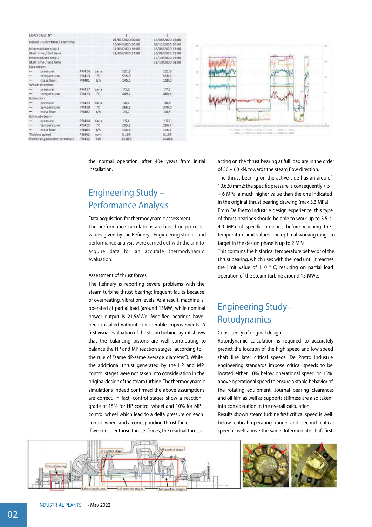|                                                                                                            | LOAD CASE N"   |        |       | mark Common                          | 2 hours over                                                                 |
|------------------------------------------------------------------------------------------------------------|----------------|--------|-------|--------------------------------------|------------------------------------------------------------------------------|
| Period - Start time / End time                                                                             |                |        |       | 01/01/2020 00:00<br>10/04/2020 20:00 | 14/08/2020 13:00<br>07/11/2020 10:00                                         |
| Intermediate stop 1<br>Start time / End time<br>Intermediate stop 2<br>Start time / End time<br>Live steam |                |        |       | 11/03/2020 16:00<br>11/03/2020 17:00 | 16/08/2020 12:00<br>16/08/2020 15:00<br>17/10/2020 13:00<br>19/10/2020 08:00 |
|                                                                                                            | pressure.      | PP1414 | bar a | 121,9                                | 121.8                                                                        |
| ×                                                                                                          | temperature    | PT1413 | 50    | 515,0                                | 518,7                                                                        |
|                                                                                                            | mass flow.     | PF1401 | t/h   | 145.5                                | 158.0                                                                        |
|                                                                                                            | Wheel chamber. |        |       |                                      |                                                                              |
|                                                                                                            | pressure.      | PPM27  | bar a | 72,0                                 | 77.2                                                                         |
|                                                                                                            | temperature    | PT1423 | tc.   | 449,7                                | 460,5                                                                        |
| Extraction                                                                                                 |                |        |       |                                      | 1990                                                                         |
|                                                                                                            | pressure       | PP5423 | bar a | 36,7                                 | 36.8                                                                         |
|                                                                                                            | temperature    | PT1420 | une : | 366,3                                | 370,0                                                                        |
|                                                                                                            | mass flow      | PF1402 | t/h   | 25.2                                 | 38.5                                                                         |
|                                                                                                            | Exhaust-steam  | Limbon |       |                                      |                                                                              |
|                                                                                                            | pressure       | PP1434 | bar a | 15,4                                 | 15.3                                                                         |
|                                                                                                            | temperature    | PT1425 | HC:   | 285,2                                | 286,7                                                                        |
|                                                                                                            | mass flow.     | PF1403 | t/h   | 116,6                                | 116.2                                                                        |
| Turbine speed                                                                                              |                | P51402 | rpm   | <b>B.196</b>                         | 8.198                                                                        |
| Power at generator terminals.                                                                              |                | PE1432 | kw.   | 13.080                               | 14.064                                                                       |



the normal operation, after 40+ years from initial installation.

## Engineering Study – Performance Analysis

Data acquisition for thermodynamic assessment The performance calculations are based on process values given by the Refinery. Engineering studies and performance analysis were carried out with the aim to acquire data for an accurate thermodynamic evaluation.

#### Assessment of thrust forces

The Refinery is reporting severe problems with the steam turbine thrust bearing: frequent faults because of overheating, vibration levels. As a result, machine is operated at partial load (around 15MW) while nominal power output is 21,5MWe. Modified bearings have been installed without considerable improvements. A first visual evaluation of the steam turbine layout shows that the balancing pistons are well contributing to balance the HP and MP reaction stages (according to the rule of "same dP-same average diameter"). While the additional thrust generated by the HP and MP control stages were not taken into consideration in the originaldesignofthesteamturbine.Thethermodynamic simulations indeed confirmed the above assumptions are correct. In fact, control stages show a reaction grade of 15% for HP control wheel and 10% for MP control wheel which lead to a delta pressure on each control wheel and a corresponding thrust force. If we consider those thrusts forces, the residual thrusts

acting on the thrust bearing at full load are in the order of 50  $\div$  60 kN, towards the steam flow direction.

The thrust bearing on the active side has an area of 10,620 mm2; the specific pressure is consequently  $\approx$  5 ÷ 6 MPa, a much higher value than the one indicated in the original thrust bearing drawing (max 3.3 MPa). From De Pretto Industrie design experience, this type of thrust bearings should be able to work up to 3.5  $\div$ 4.0 MPa of specific pressure, before reaching the temperature limit values. The optimal working range to target in the design phase is up to 2 MPa.

This confirms the historical temperature behavior of the thrust bearing, which rises with the load until it reaches the limit value of 110 ° C, resulting on partial load operation of the steam turbine around 15 MWe.

## Engineering Study - Rotodynamics

#### Consistency of original design

Rotordynamic calculation is required to accurately predict the location of the high speed and low speed shaft line later critical speeds. De Pretto Industrie engineering standards impose critical speeds to be located either 10% below operational speed or 15% above operational speed to ensure a stable behavior of the rotating equipment. Journal bearing clearances and oil film as well as supports stiffness are also taken into consideration in the overall calculation.

Results shown steam turbine first critical speed is well below critical operating range and second critical speed is well above the same. Intermediate shaft first

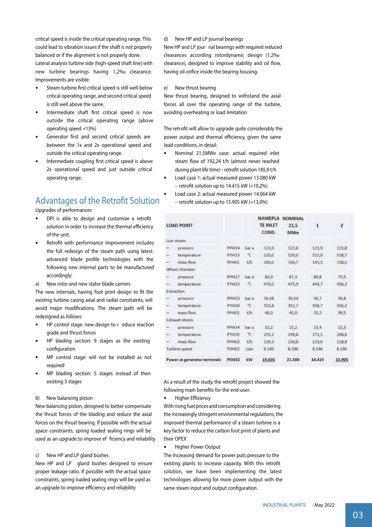critical speed is inside the critical operating range. This could lead to vibration issues if the shaft is not properly balanced or if the alignment is not properly done.

Lateral analysis turbine side (high-speed shaft line) with new turbine bearings having 1,2‰ clearance. Improvements are visible:

- Steam turbine first critical speed is still well below critical operating range, and second critical speed is still well above the same.
- Intermediate shaft first critical speed is now outside the critical operating range (above operating speed +15%)
- Generator first and second critical speeds are between the 1x and 2x operational speed and outside the critical operating range.
- Intermediate coupling first critical speed is above 2x operational speed and just outside critical operating range.

## Advantages of the Retrofit Solution

Upgrades of performances

- DPI is able to design and customize a retrofit solution in order to increase the thermal efficiency of the unit.
- Retrofit with performance improvement includes the full redesign of the steam path using latest advanced blade profile technologies with the following new internal parts to be manufactured accordingly:
- a) New rotor and new stator blade carriers

The new internals, having foot print design to fit the existing turbine casing axial and radial constraints, will avoid major modifications. The steam path will be redesigned as follows:

- HP control stage: new design to r educe reaction grade and thrust forces
- HP blading section: 9 stages as the existing configuration
- MP control stage: will not be installed as not required
- MP blading section: 5 stages instead of then existing 3 stages

#### b) New balancing piston

New balancing piston, designed to better compensate the thrust forces of the blading and reduce the axial forces on the thrust bearing. If possible with the actual space constraints, spring loaded sealing rings will be used as an upgrade to improve ef ficiency and reliability

c) New HP and LP gland bushes

New HP and LP gland bushes designed to ensure proper leakage ratio. If possible with the actual space constraints, spring loaded sealing rings will be used as an upgrade to improve efficiency and reliability

d) New HP and LP journal bearings New HP and LP jour nal bearings with required reduced clearances according rotordynamic design (1,2‰ clearance), designed to improve stability and oil flow. having oil orifice inside the bearing housing.

#### e) New thrust bearing

New thrust bearing, designed to withstand the axial forces all over the operating range of the turbine, avoiding overheating or load limitation

The retrofit will allow to upgrade quite considerably the power output and thermal efficiency, given the same load conditions, in detail:

- Nominal 21,5MWe case: actual required inlet steam flow of 192,24 t/h (almost never reached during plant life time) – retrofit solution 185,9 t/h
- Load case 1: actual measured power 13.080 kW – retrofit solution up to  $14.415$  kW (+10,2%)
- Load case 2: actual measured power 14.064 kW - retrofit solution up to 15.905 kW  $(+13,0%)$

| <b>LOAD POINT</b>            |               |               |       | NAMEPLA<br><b>TE INLET</b><br>COND. | <b>NOMINAL</b><br>21,5<br>MWe | $\mathbf{1}$ | $\overline{\mathbf{z}}$ |
|------------------------------|---------------|---------------|-------|-------------------------------------|-------------------------------|--------------|-------------------------|
|                              | Live steam    |               |       |                                     |                               |              |                         |
|                              | pressure      | PP1414        | bar a | 122,6                               | 122,6                         | 121,9        | 121,8                   |
| -                            | temperature   | PT1413        | *C    | 520,0                               | 520,0                         | 515,0        | 518.7                   |
| -                            | mass flow     | PF1401        | t/h   | 180,0                               | 190.7                         | 145,5        | 158,0                   |
|                              | Wheel chamber |               |       |                                     |                               |              |                         |
|                              | pressure      | PP[427        | bar a | 83,0                                | 87,3                          | 69.8         | 74,5                    |
|                              | temperature   | PTI423        | *C    | 470.0                               | 475,5                         | 449.7        | 456,3                   |
|                              | Extraction    |               |       |                                     |                               |              |                         |
|                              | pressure      | PPI423        | bar a | 36,48                               | 36,54                         | 36,7         | 36,8                    |
| $\overline{\phantom{0}}$     | temperature   | PTI420        | *C    | 353,8                               | 352,7                         | 358,7        | 356,2                   |
|                              | mass flow     | PF1402        | t/h   | 40,0                                | 40,0                          | 25,2         | 38,5                    |
|                              | Exhaust-steam |               |       |                                     |                               |              |                         |
|                              | pressure      | PPI434        | bar a | 15,2                                | 15.2                          | 15.4         | 15,3                    |
| $\overline{\phantom{0}}$     | temperature   | PTI425        | *C    | 255,3                               | 249,6                         | 271,1        | 268,6                   |
|                              | mass flow     | PF1403        | t/h   | 139.3                               | 150,0                         | 119.6        | 118.8                   |
| Turbine speed                |               | PS1402        | rpm   | 8.196                               | 8.196                         | 8.196        | 8.196                   |
| Power at generator terminals |               | <b>PEI432</b> | kW    | 19.635                              | 21.500                        | 14.415       | 15,905                  |

As a result of the study, the retrofit project showed the following main benefits for the end-user:

 $\bullet$ Higher Efficiency

With rising fuel prices and consumption and considering the increasingly stringent environmental regulations, the improved thermal performance of a steam turbine is a key factor to reduce the carbon foot print of plants and their OPEX

 $\bullet$ Higher Power Output

The increasing demand for power puts pressure to the existing plants to increase capacity. With this retrofit solution, we have been implementing the latest technologies allowing for more power output with the same steam input and output configuration.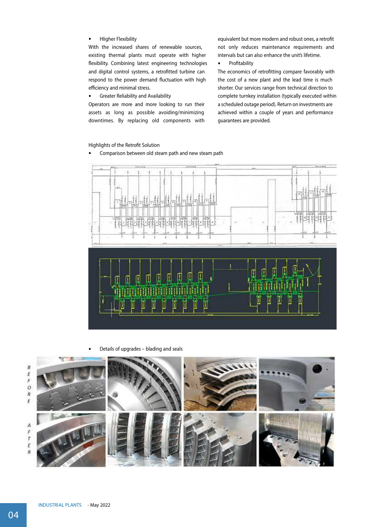HIigher Flexibility

With the increased shares of renewable sources, existing thermal plants must operate with higher flexibility. Combining latest engineering technologies and digital control systems, a retrofitted turbine can respond to the power demand fluctuation with high efficiency and minimal stress.

 $\bullet$ Greater Reliability and Availability

Operators are more and more looking to run their assets as long as possible avoiding/minimizing downtimes. By replacing old components with

equivalent but more modern and robust ones, a retrofit not only reduces maintenance requirements and intervals but can also enhance the unit's lifetime.

#### $\bullet$ Profitability

The economics of retrofitting compare favorably with the cost of a new plant and the lead time is much shorter. Our services range from technical direction to complete turnkey installation (typically executed within a scheduled outage period). Return on investments are achieved within a couple of years and performance guarantees are provided.

#### Highlights of the Retrofit Solution

Comparison between old steam path and new steam path



Details of upgrades – blading and seals

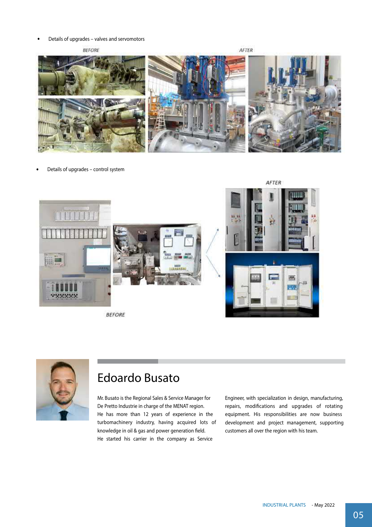Details of upgrades – valves and servomotors  $\ddot{\phantom{0}}$ 

**BEFORE** 

AFTER



Details of upgrades – control system



**BEFORE** 



## Edoardo Busato

Mr. Busato is the Regional Sales & Service Manager for De Pretto Industrie in charge of the MENAT region. He has more than 12 years of experience in the turbomachinery industry, having acquired lots of knowledge in oil & gas and power generation field. He started his carrier in the company as Service

Engineer, with specialization in design, manufacturing, repairs, modifications and upgrades of rotating equipment. His responsibilities are now business development and project management, supporting customers all over the region with his team.